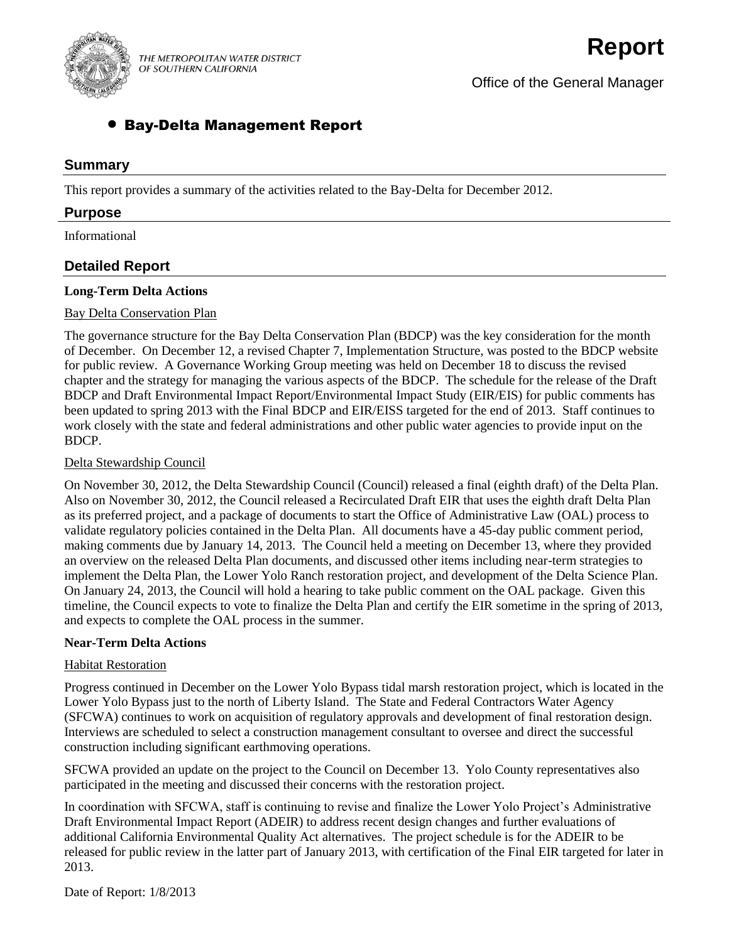

THE METROPOLITAN WATER DISTRICT OF SOUTHERN CALIFORNIA

Office of the General Manager

# Bay-Delta Management Report

### **Summary**

This report provides a summary of the activities related to the Bay-Delta for December 2012.

### **Purpose**

Informational

## **Detailed Report**

### **Long-Term Delta Actions**

#### Bay Delta Conservation Plan

The governance structure for the Bay Delta Conservation Plan (BDCP) was the key consideration for the month of December. On December 12, a revised Chapter 7, Implementation Structure, was posted to the BDCP website for public review. A Governance Working Group meeting was held on December 18 to discuss the revised chapter and the strategy for managing the various aspects of the BDCP. The schedule for the release of the Draft BDCP and Draft Environmental Impact Report/Environmental Impact Study (EIR/EIS) for public comments has been updated to spring 2013 with the Final BDCP and EIR/EISS targeted for the end of 2013. Staff continues to work closely with the state and federal administrations and other public water agencies to provide input on the BDCP.

### Delta Stewardship Council

On November 30, 2012, the Delta Stewardship Council (Council) released a final (eighth draft) of the Delta Plan. Also on November 30, 2012, the Council released a Recirculated Draft EIR that uses the eighth draft Delta Plan as its preferred project, and a package of documents to start the Office of Administrative Law (OAL) process to validate regulatory policies contained in the Delta Plan. All documents have a 45-day public comment period, making comments due by January 14, 2013. The Council held a meeting on December 13, where they provided an overview on the released Delta Plan documents, and discussed other items including near-term strategies to implement the Delta Plan, the Lower Yolo Ranch restoration project, and development of the Delta Science Plan. On January 24, 2013, the Council will hold a hearing to take public comment on the OAL package. Given this timeline, the Council expects to vote to finalize the Delta Plan and certify the EIR sometime in the spring of 2013, and expects to complete the OAL process in the summer.

#### **Near-Term Delta Actions**

### Habitat Restoration

Progress continued in December on the Lower Yolo Bypass tidal marsh restoration project, which is located in the Lower Yolo Bypass just to the north of Liberty Island. The State and Federal Contractors Water Agency (SFCWA) continues to work on acquisition of regulatory approvals and development of final restoration design. Interviews are scheduled to select a construction management consultant to oversee and direct the successful construction including significant earthmoving operations.

SFCWA provided an update on the project to the Council on December 13. Yolo County representatives also participated in the meeting and discussed their concerns with the restoration project.

In coordination with SFCWA, staff is continuing to revise and finalize the Lower Yolo Project's Administrative Draft Environmental Impact Report (ADEIR) to address recent design changes and further evaluations of additional California Environmental Quality Act alternatives. The project schedule is for the ADEIR to be released for public review in the latter part of January 2013, with certification of the Final EIR targeted for later in 2013.

Date of Report: 1/8/2013